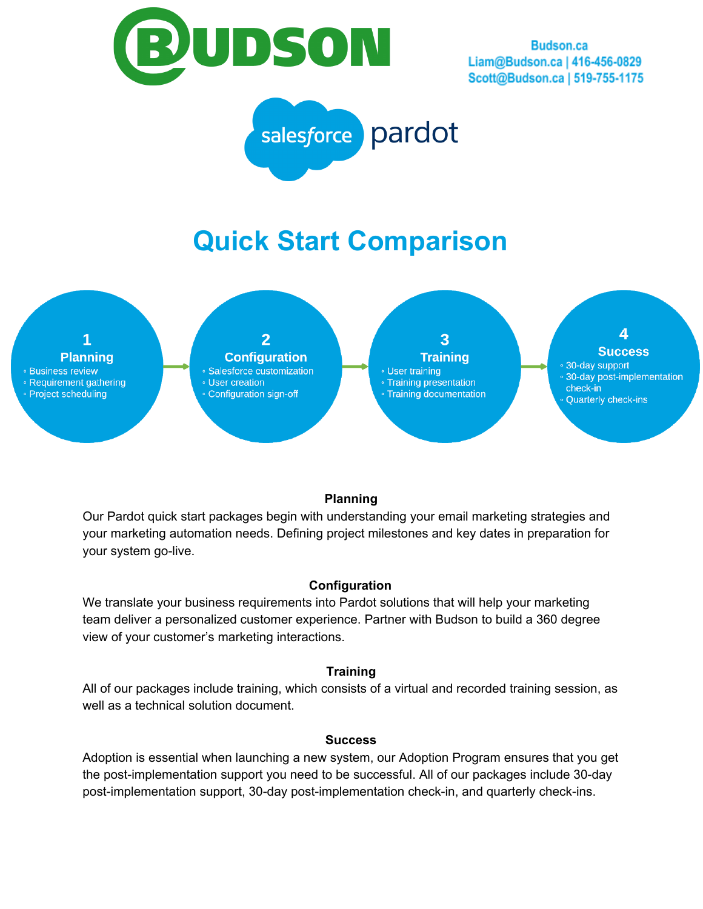

**Budson.ca** Liam@Budson.ca | 416-456-0829 Scott@Budson.ca | 519-755-1175



# **Quick Start Comparison**



## **Planning**

Our Pardot quick start packages begin with understanding your email marketing strategies and your marketing automation needs. Defining project milestones and key dates in preparation for your system go-live.

### **Configuration**

We translate your business requirements into Pardot solutions that will help your marketing team deliver a personalized customer experience. Partner with Budson to build a 360 degree view of your customer's marketing interactions.

### **Training**

All of our packages include training, which consists of a virtual and recorded training session, as well as a technical solution document.

#### **Success**

Adoption is essential when launching a new system, our Adoption Program ensures that you get the post-implementation support you need to be successful. All of our packages include 30-day post-implementation support, 30-day post-implementation check-in, and quarterly check-ins.